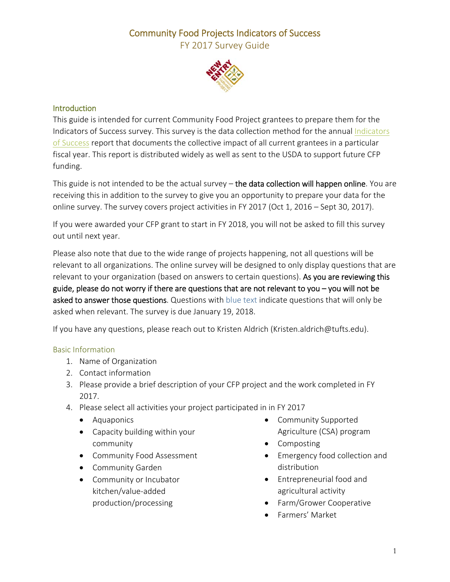FY 2017 Survey Guide



#### Introduction

This guide is intended for current Community Food Project grantees to prepare them for the Indicators of Success survey. This survey is the data collection method for the annual Indicators of Success report that documents the collective impact of all current grantees in a particular fiscal year. This report is distributed widely as well as sent to the USDA to support future CFP funding.

This guide is not intended to be the actual survey – the data collection will happen online. You are receiving this in addition to the survey to give you an opportunity to prepare your data for the online survey. The survey covers project activities in FY 2017 (Oct 1, 2016 – Sept 30, 2017).

If you were awarded your CFP grant to start in FY 2018, you will not be asked to fill this survey out until next year.

Please also note that due to the wide range of projects happening, not all questions will be relevant to all organizations. The online survey will be designed to only display questions that are relevant to your organization (based on answers to certain questions). As you are reviewing this guide, please do not worry if there are questions that are not relevant to you  $-$  you will not be asked to answer those questions. Questions with blue text indicate questions that will only be asked when relevant. The survey is due January 19, 2018.

If you have any questions, please reach out to Kristen Aldrich (Kristen.aldrich@tufts.edu).

### Basic Information

- 1. Name of Organization
- 2. Contact information
- 3. Please provide a brief description of your CFP project and the work completed in FY 2017.
- 4. Please select all activities your project participated in in FY 2017
	- Aquaponics
	- Capacity building within your community
	- **•** Community Food Assessment
	- Community Garden
	- Community or Incubator kitchen/value‐added production/processing
- Community Supported Agriculture (CSA) program
- Composting
- Emergency food collection and distribution
- Entrepreneurial food and agricultural activity
- Farm/Grower Cooperative
- Farmers' Market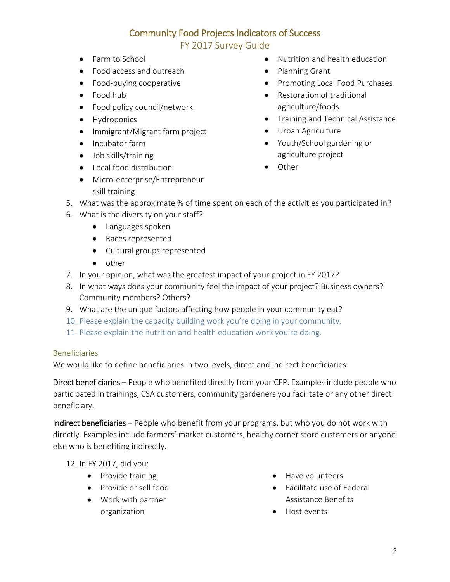FY 2017 Survey Guide

- Farm to School
- Food access and outreach
- Food-buying cooperative
- Food hub
- Food policy council/network
- Hydroponics
- Immigrant/Migrant farm project
- Incubator farm
- Job skills/training
- Local food distribution
- Micro-enterprise/Entrepreneur skill training
- Nutrition and health education
- Planning Grant
- Promoting Local Food Purchases
- Restoration of traditional agriculture/foods
- **•** Training and Technical Assistance
- Urban Agriculture
- Youth/School gardening or agriculture project
- Other
- 5. What was the approximate % of time spent on each of the activities you participated in?
- 6. What is the diversity on your staff?
	- Languages spoken
	- Races represented
	- Cultural groups represented
	- $\bullet$  other
- 7. In your opinion, what was the greatest impact of your project in FY 2017?
- 8. In what ways does your community feel the impact of your project? Business owners? Community members? Others?
- 9. What are the unique factors affecting how people in your community eat?
- 10. Please explain the capacity building work you're doing in your community.
- 11. Please explain the nutrition and health education work you're doing.

### Beneficiaries

We would like to define beneficiaries in two levels, direct and indirect beneficiaries.

Direct beneficiaries – People who benefited directly from your CFP. Examples include people who participated in trainings, CSA customers, community gardeners you facilitate or any other direct beneficiary.

Indirect beneficiaries – People who benefit from your programs, but who you do not work with directly. Examples include farmers' market customers, healthy corner store customers or anyone else who is benefiting indirectly.

12. In FY 2017, did you:

- Provide training
- Provide or sell food
- Work with partner organization
- Have volunteers
- Facilitate use of Federal Assistance Benefits
- Host events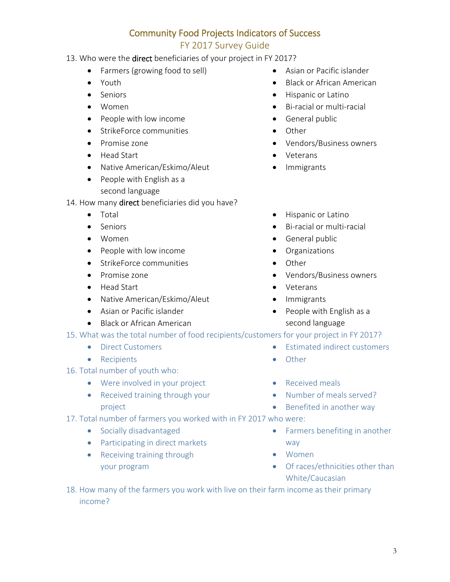### FY 2017 Survey Guide

- 13. Who were the direct beneficiaries of your project in FY 2017?
	- Farmers (growing food to sell)
	- Youth
	- Seniors
	- Women
	- People with low income
	- StrikeForce communities
	- Promise zone
	- Head Start
	- Native American/Eskimo/Aleut
	- People with English as a second language

14. How many direct beneficiaries did you have?

- Total
- Seniors
- Women
- People with low income
- **•** StrikeForce communities
- Promise zone
- Head Start
- Native American/Eskimo/Aleut
- Asian or Pacific islander
- Black or African American
- 15. What was the total number of food recipients/customers for your project in FY 2017?
	- **•** Direct Customers
	- Recipients
- 16. Total number of youth who:
	- Were involved in your project
	- Received training through your project
- 17. Total number of farmers you worked with in FY 2017 who were:
	- Socially disadvantaged
	- Participating in direct markets
	- Receiving training through your program
- Asian or Pacific islander
- Black or African American
- Hispanic or Latino
- Bi-racial or multi-racial
- **•** General public
- Other
- Vendors/Business owners
- Veterans
- Immigrants
- **•** Hispanic or Latino
- Bi-racial or multi-racial
- **•** General public
- **•** Organizations
- Other
- Vendors/Business owners
- Veterans
- Immigrants
- People with English as a second language
- Estimated indirect customers
	- Other
	- Received meals
	- Number of meals served?
	- Benefited in another way
	- Farmers benefiting in another way
	- Women
	- Of races/ethnicities other than White/Caucasian
- 18. How many of the farmers you work with live on their farm income as their primary income?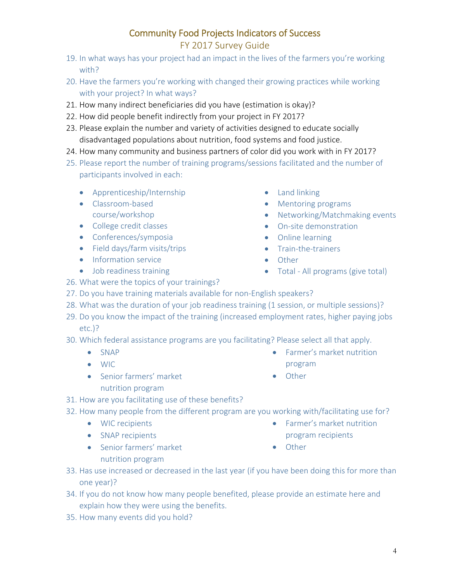4

# Community Food Projects Indicators of Success

FY 2017 Survey Guide

- 19. In what ways has your project had an impact in the lives of the farmers you're working with?
- 20. Have the farmers you're working with changed their growing practices while working with your project? In what ways?
- 21. How many indirect beneficiaries did you have (estimation is okay)?
- 22. How did people benefit indirectly from your project in FY 2017?
- 23. Please explain the number and variety of activities designed to educate socially disadvantaged populations about nutrition, food systems and food justice.
- 24. How many community and business partners of color did you work with in FY 2017?
- 25. Please report the number of training programs/sessions facilitated and the number of participants involved in each:
	- Apprenticeship/Internship
	- Classroom-based course/workshop
	- College credit classes
	- Conferences/symposia
	- Field days/farm visits/trips
	- Information service
	- Job readiness training
- Land linking
- Mentoring programs
- Networking/Matchmaking events
- On-site demonstration
- Online learning
- Train-the-trainers

program

• Other

- Other
- Total All programs (give total)
- 26. What were the topics of your trainings?
- 27. Do you have training materials available for non-English speakers?
- 28. What was the duration of your job readiness training (1 session, or multiple sessions)?
- 29. Do you know the impact of the training (increased employment rates, higher paying jobs etc.)?
- 30. Which federal assistance programs are you facilitating? Please select all that apply.
	- SNAP
	- WIC
	- Senior farmers' market
		- nutrition program
- 31. How are you facilitating use of these benefits?
- 32. How many people from the different program are you working with/facilitating use for?
	- WIC recipients
	- SNAP recipients
	- Senior farmers' market nutrition program

**•** Farmer's market nutrition

Farmer's market nutrition

- program recipients
- Other
- 33. Has use increased or decreased in the last year (if you have been doing this for more than one year)?
- 34. If you do not know how many people benefited, please provide an estimate here and explain how they were using the benefits.
- 35. How many events did you hold?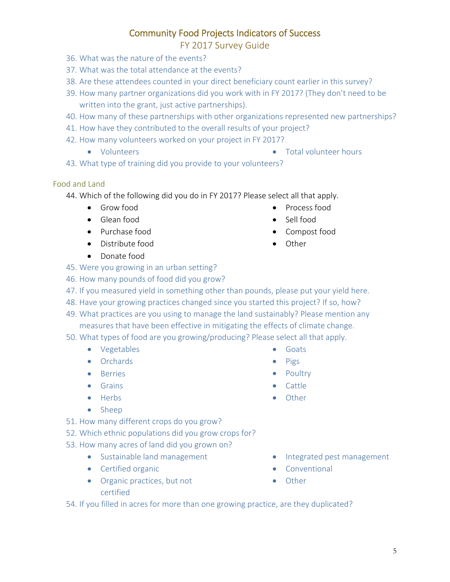### FY 2017 Survey Guide

- 36. What was the nature of the events?
- 37. What was the total attendance at the events?
- 38. Are these attendees counted in your direct beneficiary count earlier in this survey?
- 39. How many partner organizations did you work with in FY 2017? (They don't need to be written into the grant, just active partnerships).
- 40. How many of these partnerships with other organizations represented new partnerships?
- 41. How have they contributed to the overall results of your project?
- 42. How many volunteers worked on your project in FY 2017?
	- Volunteers Total volunteer hours
- 

• Process food Sell food

Compost food

• Other

**•** Goats  $\bullet$  Pigs • Poultry • Cattle **•** Other

43. What type of training did you provide to your volunteers?

#### Food and Land

44. Which of the following did you do in FY 2017? Please select all that apply.

- **•** Grow food
- Glean food
- Purchase food
- Distribute food
- Donate food
- 45. Were you growing in an urban setting?
- 46. How many pounds of food did you grow?
- 47. If you measured yield in something other than pounds, please put your yield here.
- 48. Have your growing practices changed since you started this project? If so, how?
- 49. What practices are you using to manage the land sustainably? Please mention any measures that have been effective in mitigating the effects of climate change.
- 50. What types of food are you growing/producing? Please select all that apply.
	- Vegetables
	- **•** Orchards
	- **•** Berries
	- **•** Grains
	- Herbs
	- Sheep
- 51. How many different crops do you grow?
- 52. Which ethnic populations did you grow crops for?
- 53. How many acres of land did you grown on?
	- Sustainable land management
	- **•** Certified organic
	- Organic practices, but not certified
- Integrated pest management
- **•** Conventional
- Other
- 54. If you filled in acres for more than one growing practice, are they duplicated?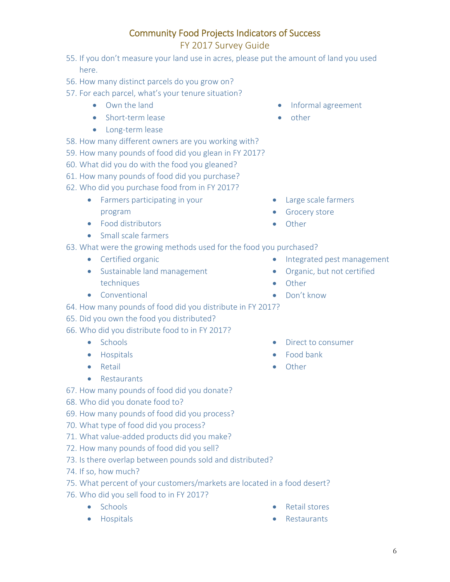### FY 2017 Survey Guide

- 55. If you don't measure your land use in acres, please put the amount of land you used here.
- 56. How many distinct parcels do you grow on?
- 57. For each parcel, what's your tenure situation?
	- Own the land
	- Short-term lease
	- Long-term lease
- 58. How many different owners are you working with?
- 59. How many pounds of food did you glean in FY 2017?
- 60. What did you do with the food you gleaned?
- 61. How many pounds of food did you purchase?
- 62. Who did you purchase food from in FY 2017?
	- Farmers participating in your program
	- Food distributors
	- Small scale farmers
- 63. What were the growing methods used for the food you purchased?
	- **•** Certified organic
	- Sustainable land management techniques
	- **•** Conventional
- Informal agreement
- other

- Large scale farmers
- **•** Grocery store
- Other
- Integrated pest management
- Organic, but not certified
- Other
- Don't know

• Food bank Other

• Direct to consumer

- 64. How many pounds of food did you distribute in FY 2017?
- 65. Did you own the food you distributed?
- 66. Who did you distribute food to in FY 2017?
	- Schools
	- **•** Hospitals
	- **•** Retail
	- **•** Restaurants
- 67. How many pounds of food did you donate?
- 68. Who did you donate food to?
- 69. How many pounds of food did you process?
- 70. What type of food did you process?
- 71. What value-added products did you make?
- 72. How many pounds of food did you sell?
- 73. Is there overlap between pounds sold and distributed?
- 74. If so, how much?
- 75. What percent of your customers/markets are located in a food desert?
- 76. Who did you sell food to in FY 2017?
	- Schools
	- **•** Hospitals
- Retail stores
- **•** Restaurants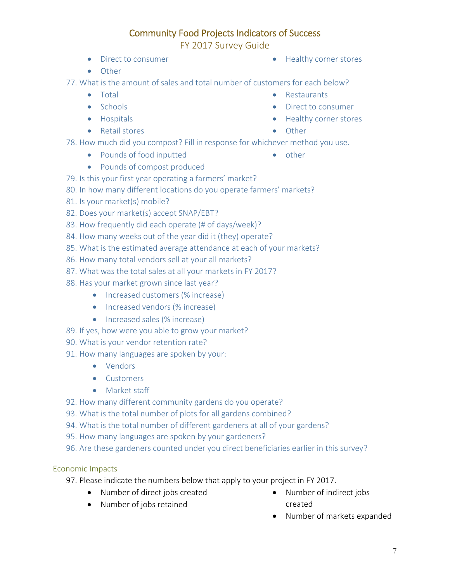FY 2017 Survey Guide

- 
- Direct to consumer **EXECUTE:** The Healthy corner stores
- Other

77. What is the amount of sales and total number of customers for each below?

• Total • Schools

**•** Hospitals • Retail stores

- **•** Restaurants
- Direct to consumer
- Healthy corner stores
- Other

 $\bullet$  other

- 78. How much did you compost? Fill in response for whichever method you use.
	- Pounds of food inputted
	- Pounds of compost produced
- 79. Is this your first year operating a farmers' market?
- 80. In how many different locations do you operate farmers' markets?
- 81. Is your market(s) mobile?
- 82. Does your market(s) accept SNAP/EBT?
- 83. How frequently did each operate (# of days/week)?
- 84. How many weeks out of the year did it (they) operate?
- 85. What is the estimated average attendance at each of your markets?
- 86. How many total vendors sell at your all markets?
- 87. What was the total sales at all your markets in FY 2017?
- 88. Has your market grown since last year?
	- Increased customers (% increase)
	- Increased vendors (% increase)
	- Increased sales (% increase)
- 89. If yes, how were you able to grow your market?
- 90. What is your vendor retention rate?
- 91. How many languages are spoken by your:
	- Vendors
	- **Customers**
	- Market staff
- 92. How many different community gardens do you operate?
- 93. What is the total number of plots for all gardens combined?
- 94. What is the total number of different gardeners at all of your gardens?
- 95. How many languages are spoken by your gardeners?
- 96. Are these gardeners counted under you direct beneficiaries earlier in this survey?

### Economic Impacts

- 97. Please indicate the numbers below that apply to your project in FY 2017.
	- Number of direct jobs created
- Number of indirect jobs created

Number of jobs retained

Number of markets expanded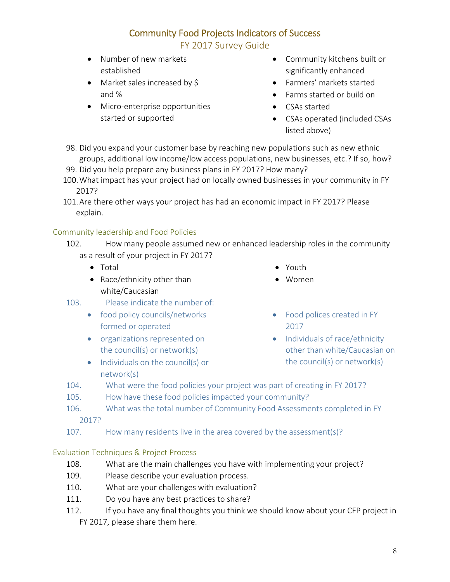FY 2017 Survey Guide

- Number of new markets established
- Market sales increased by \$ and %
- Micro-enterprise opportunities started or supported
- Community kitchens built or significantly enhanced
- Farmers' markets started
- Farms started or build on
- CSAs started
- CSAs operated (included CSAs listed above)
- 98. Did you expand your customer base by reaching new populations such as new ethnic groups, additional low income/low access populations, new businesses, etc.? If so, how?
- 99. Did you help prepare any business plans in FY 2017? How many?
- 100.What impact has your project had on locally owned businesses in your community in FY 2017?
- 101.Are there other ways your project has had an economic impact in FY 2017? Please explain.

#### Community leadership and Food Policies

- 102. How many people assumed new or enhanced leadership roles in the community as a result of your project in FY 2017?
	- Total
	- Race/ethnicity other than white/Caucasian
- 103. Please indicate the number of:
	- food policy councils/networks formed or operated
	- **•** organizations represented on the council(s) or network(s)
	- Individuals on the council(s) or network(s)
- Youth
- Women
- Food polices created in FY 2017
- Individuals of race/ethnicity other than white/Caucasian on the council(s) or network(s)
- 104. What were the food policies your project was part of creating in FY 2017?
- 105. How have these food policies impacted your community?
- 106. What was the total number of Community Food Assessments completed in FY
	- 2017?
- 107. How many residents live in the area covered by the assessment(s)?

#### Evaluation Techniques & Project Process

- 108. What are the main challenges you have with implementing your project?
- 109. Please describe your evaluation process.
- 110. What are your challenges with evaluation?
- 111. Do you have any best practices to share?
- 112. If you have any final thoughts you think we should know about your CFP project in FY 2017, please share them here.